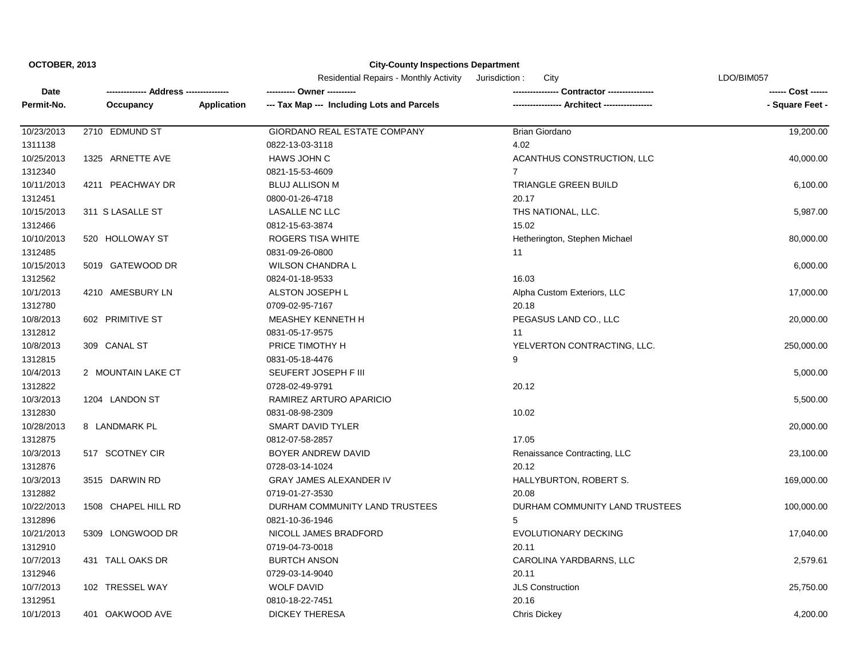|            |                     |                    | <b>Residential Repairs - Monthly Activity</b><br>Jurisdiction:<br>City |                                | LDO/BIM057      |
|------------|---------------------|--------------------|------------------------------------------------------------------------|--------------------------------|-----------------|
| Date       | Address---          |                    | ---------- Owner -----                                                 | <b>Contractor ---------</b>    |                 |
| Permit-No. | Occupancy           | <b>Application</b> | --- Tax Map --- Including Lots and Parcels                             |                                | - Square Feet - |
| 10/23/2013 | 2710 EDMUND ST      |                    | GIORDANO REAL ESTATE COMPANY                                           | Brian Giordano                 | 19,200.00       |
| 1311138    |                     |                    | 0822-13-03-3118                                                        | 4.02                           |                 |
| 10/25/2013 | 1325 ARNETTE AVE    |                    | HAWS JOHN C                                                            | ACANTHUS CONSTRUCTION, LLC     | 40,000.00       |
| 1312340    |                     |                    | 0821-15-53-4609                                                        | $\overline{7}$                 |                 |
| 10/11/2013 | 4211 PEACHWAY DR    |                    | <b>BLUJ ALLISON M</b>                                                  | TRIANGLE GREEN BUILD           | 6,100.00        |
| 1312451    |                     |                    | 0800-01-26-4718                                                        | 20.17                          |                 |
| 10/15/2013 | 311 S LASALLE ST    |                    | LASALLE NC LLC                                                         | THS NATIONAL, LLC.             | 5,987.00        |
| 1312466    |                     |                    | 0812-15-63-3874                                                        | 15.02                          |                 |
| 10/10/2013 | 520 HOLLOWAY ST     |                    | ROGERS TISA WHITE                                                      | Hetherington, Stephen Michael  | 80,000.00       |
| 1312485    |                     |                    | 0831-09-26-0800                                                        | 11                             |                 |
| 10/15/2013 | 5019 GATEWOOD DR    |                    | <b>WILSON CHANDRA L</b>                                                |                                | 6,000.00        |
| 1312562    |                     |                    | 0824-01-18-9533                                                        | 16.03                          |                 |
| 10/1/2013  | 4210 AMESBURY LN    |                    | ALSTON JOSEPH L                                                        | Alpha Custom Exteriors, LLC    | 17,000.00       |
| 1312780    |                     |                    | 0709-02-95-7167                                                        | 20.18                          |                 |
| 10/8/2013  | 602 PRIMITIVE ST    |                    | MEASHEY KENNETH H                                                      | PEGASUS LAND CO., LLC          | 20,000.00       |
| 1312812    |                     |                    | 0831-05-17-9575                                                        | 11                             |                 |
| 10/8/2013  | 309 CANAL ST        |                    | PRICE TIMOTHY H                                                        | YELVERTON CONTRACTING, LLC.    | 250,000.00      |
| 1312815    |                     |                    | 0831-05-18-4476                                                        | 9                              |                 |
| 10/4/2013  | 2 MOUNTAIN LAKE CT  |                    | SEUFERT JOSEPH F III                                                   |                                | 5,000.00        |
| 1312822    |                     |                    | 0728-02-49-9791                                                        | 20.12                          |                 |
| 10/3/2013  | 1204 LANDON ST      |                    | RAMIREZ ARTURO APARICIO                                                |                                | 5,500.00        |
| 1312830    |                     |                    | 0831-08-98-2309                                                        | 10.02                          |                 |
| 10/28/2013 | 8 LANDMARK PL       |                    | SMART DAVID TYLER                                                      |                                | 20,000.00       |
| 1312875    |                     |                    | 0812-07-58-2857                                                        | 17.05                          |                 |
| 10/3/2013  | 517 SCOTNEY CIR     |                    | BOYER ANDREW DAVID                                                     | Renaissance Contracting, LLC   | 23,100.00       |
| 1312876    |                     |                    | 0728-03-14-1024                                                        | 20.12                          |                 |
| 10/3/2013  | 3515 DARWIN RD      |                    | <b>GRAY JAMES ALEXANDER IV</b>                                         | HALLYBURTON, ROBERT S.         | 169,000.00      |
| 1312882    |                     |                    | 0719-01-27-3530                                                        | 20.08                          |                 |
| 10/22/2013 | 1508 CHAPEL HILL RD |                    | DURHAM COMMUNITY LAND TRUSTEES                                         | DURHAM COMMUNITY LAND TRUSTEES | 100,000.00      |
| 1312896    |                     |                    | 0821-10-36-1946                                                        | 5                              |                 |
| 10/21/2013 | 5309 LONGWOOD DR    |                    | NICOLL JAMES BRADFORD                                                  | <b>EVOLUTIONARY DECKING</b>    | 17,040.00       |
| 1312910    |                     |                    | 0719-04-73-0018                                                        | 20.11                          |                 |
| 10/7/2013  | 431 TALL OAKS DR    |                    | <b>BURTCH ANSON</b>                                                    | CAROLINA YARDBARNS, LLC        | 2,579.61        |
| 1312946    |                     |                    | 0729-03-14-9040                                                        | 20.11                          |                 |
| 10/7/2013  | 102 TRESSEL WAY     |                    | <b>WOLF DAVID</b>                                                      | <b>JLS Construction</b>        | 25,750.00       |
| 1312951    |                     |                    | 0810-18-22-7451                                                        | 20.16                          |                 |
| 10/1/2013  | 401 OAKWOOD AVE     |                    | <b>DICKEY THERESA</b>                                                  | <b>Chris Dickey</b>            | 4,200.00        |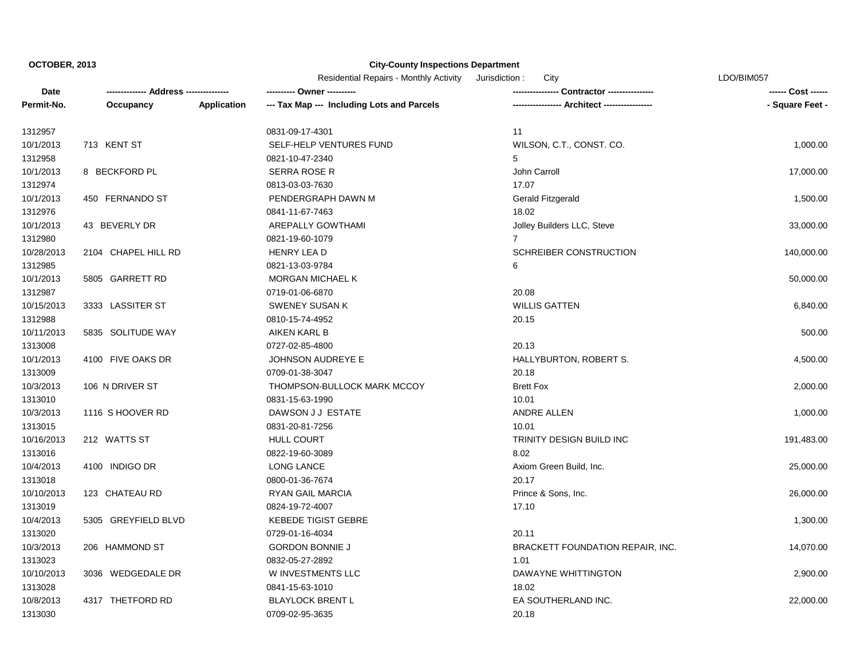|            |                     |                    | <b>Residential Repairs - Monthly Activity</b><br>Jurisdiction :<br>City |                                         | LDO/BIM057      |
|------------|---------------------|--------------------|-------------------------------------------------------------------------|-----------------------------------------|-----------------|
| Date       | -- Address ----     |                    | ---------- Owner -----                                                  | <b>Contractor ---------</b>             | --- Cost ------ |
| Permit-No. | Occupancy           | <b>Application</b> | --- Tax Map --- Including Lots and Parcels                              |                                         | - Square Feet - |
| 1312957    |                     |                    | 0831-09-17-4301                                                         | 11                                      |                 |
| 10/1/2013  | 713 KENT ST         |                    | SELF-HELP VENTURES FUND                                                 | WILSON, C.T., CONST. CO.                | 1,000.00        |
| 1312958    |                     |                    | 0821-10-47-2340                                                         | 5                                       |                 |
| 10/1/2013  | 8 BECKFORD PL       |                    | <b>SERRA ROSE R</b>                                                     | John Carroll                            | 17,000.00       |
| 1312974    |                     |                    | 0813-03-03-7630                                                         | 17.07                                   |                 |
| 10/1/2013  | 450 FERNANDO ST     |                    | PENDERGRAPH DAWN M                                                      | Gerald Fitzgerald                       | 1,500.00        |
| 1312976    |                     |                    | 0841-11-67-7463                                                         | 18.02                                   |                 |
| 10/1/2013  | 43 BEVERLY DR       |                    | AREPALLY GOWTHAMI                                                       | Jolley Builders LLC, Steve              | 33,000.00       |
| 1312980    |                     |                    | 0821-19-60-1079                                                         | $\overline{7}$                          |                 |
| 10/28/2013 | 2104 CHAPEL HILL RD |                    | HENRY LEA D                                                             | SCHREIBER CONSTRUCTION                  | 140,000.00      |
| 1312985    |                     |                    | 0821-13-03-9784                                                         | 6                                       |                 |
| 10/1/2013  | 5805 GARRETT RD     |                    | <b>MORGAN MICHAEL K</b>                                                 |                                         | 50,000.00       |
| 1312987    |                     |                    | 0719-01-06-6870                                                         | 20.08                                   |                 |
| 10/15/2013 | 3333 LASSITER ST    |                    | <b>SWENEY SUSAN K</b>                                                   | <b>WILLIS GATTEN</b>                    | 6,840.00        |
| 1312988    |                     |                    | 0810-15-74-4952                                                         | 20.15                                   |                 |
| 10/11/2013 | 5835 SOLITUDE WAY   |                    | AIKEN KARL B                                                            |                                         | 500.00          |
| 1313008    |                     |                    | 0727-02-85-4800                                                         | 20.13                                   |                 |
| 10/1/2013  | 4100 FIVE OAKS DR   |                    | <b>JOHNSON AUDREYE E</b>                                                | HALLYBURTON, ROBERT S.                  | 4,500.00        |
| 1313009    |                     |                    | 0709-01-38-3047                                                         | 20.18                                   |                 |
| 10/3/2013  | 106 N DRIVER ST     |                    | THOMPSON-BULLOCK MARK MCCOY                                             | <b>Brett Fox</b>                        | 2,000.00        |
| 1313010    |                     |                    | 0831-15-63-1990                                                         | 10.01                                   |                 |
| 10/3/2013  | 1116 S HOOVER RD    |                    | DAWSON J J ESTATE                                                       | ANDRE ALLEN                             | 1,000.00        |
| 1313015    |                     |                    | 0831-20-81-7256                                                         | 10.01                                   |                 |
| 10/16/2013 | 212 WATTS ST        |                    | <b>HULL COURT</b>                                                       | TRINITY DESIGN BUILD INC                | 191,483.00      |
| 1313016    |                     |                    | 0822-19-60-3089                                                         | 8.02                                    |                 |
| 10/4/2013  | 4100 INDIGO DR      |                    | <b>LONG LANCE</b>                                                       | Axiom Green Build, Inc.                 | 25,000.00       |
| 1313018    |                     |                    | 0800-01-36-7674                                                         | 20.17                                   |                 |
| 10/10/2013 | 123 CHATEAU RD      |                    | <b>RYAN GAIL MARCIA</b>                                                 | Prince & Sons, Inc.                     | 26,000.00       |
| 1313019    |                     |                    | 0824-19-72-4007                                                         | 17.10                                   |                 |
| 10/4/2013  | 5305 GREYFIELD BLVD |                    | <b>KEBEDE TIGIST GEBRE</b>                                              |                                         | 1,300.00        |
| 1313020    |                     |                    | 0729-01-16-4034                                                         | 20.11                                   |                 |
| 10/3/2013  | 206 HAMMOND ST      |                    | <b>GORDON BONNIE J</b>                                                  | <b>BRACKETT FOUNDATION REPAIR, INC.</b> | 14,070.00       |
| 1313023    |                     |                    | 0832-05-27-2892                                                         | 1.01                                    |                 |
| 10/10/2013 | 3036 WEDGEDALE DR   |                    | W INVESTMENTS LLC                                                       | DAWAYNE WHITTINGTON                     | 2,900.00        |
| 1313028    |                     |                    | 0841-15-63-1010                                                         | 18.02                                   |                 |
| 10/8/2013  | 4317 THETFORD RD    |                    | <b>BLAYLOCK BRENT L</b>                                                 | EA SOUTHERLAND INC.                     | 22,000.00       |
| 1313030    |                     |                    | 0709-02-95-3635                                                         | 20.18                                   |                 |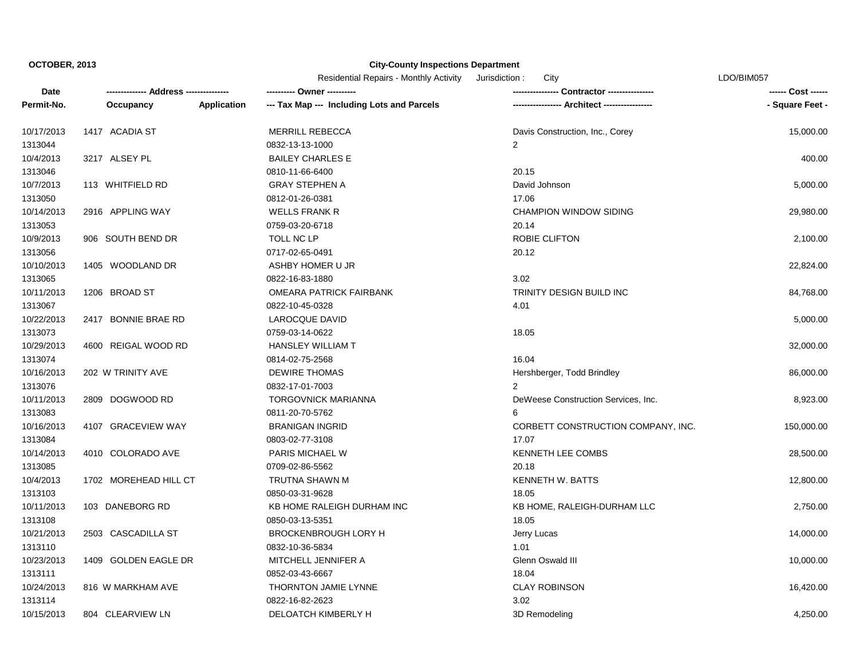|            |                       |                    | <b>Residential Repairs - Monthly Activity</b><br>Jurisdiction :<br>City |                                     | LDO/BIM057      |  |
|------------|-----------------------|--------------------|-------------------------------------------------------------------------|-------------------------------------|-----------------|--|
| Date       |                       |                    |                                                                         |                                     |                 |  |
| Permit-No. | Occupancy             | <b>Application</b> | --- Tax Map --- Including Lots and Parcels                              | --- Architect -----------------     | - Square Feet - |  |
| 10/17/2013 | 1417 ACADIA ST        |                    | <b>MERRILL REBECCA</b>                                                  | Davis Construction, Inc., Corey     | 15,000.00       |  |
| 1313044    |                       |                    | 0832-13-13-1000                                                         | $\overline{2}$                      |                 |  |
| 10/4/2013  | 3217 ALSEY PL         |                    | <b>BAILEY CHARLES E</b>                                                 |                                     | 400.00          |  |
| 1313046    |                       |                    | 0810-11-66-6400                                                         | 20.15                               |                 |  |
| 10/7/2013  | 113 WHITFIELD RD      |                    | <b>GRAY STEPHEN A</b>                                                   | David Johnson                       | 5,000.00        |  |
| 1313050    |                       |                    | 0812-01-26-0381                                                         | 17.06                               |                 |  |
| 10/14/2013 | 2916 APPLING WAY      |                    | <b>WELLS FRANK R</b>                                                    | CHAMPION WINDOW SIDING              | 29,980.00       |  |
| 1313053    |                       |                    | 0759-03-20-6718                                                         | 20.14                               |                 |  |
| 10/9/2013  | 906 SOUTH BEND DR     |                    | TOLL NC LP                                                              | ROBIE CLIFTON                       | 2,100.00        |  |
| 1313056    |                       |                    | 0717-02-65-0491                                                         | 20.12                               |                 |  |
| 10/10/2013 | 1405 WOODLAND DR      |                    | ASHBY HOMER U JR                                                        |                                     | 22,824.00       |  |
| 1313065    |                       |                    | 0822-16-83-1880                                                         | 3.02                                |                 |  |
| 10/11/2013 | 1206 BROAD ST         |                    | <b>OMEARA PATRICK FAIRBANK</b>                                          | TRINITY DESIGN BUILD INC            | 84,768.00       |  |
| 1313067    |                       |                    | 0822-10-45-0328                                                         | 4.01                                |                 |  |
| 10/22/2013 | 2417 BONNIE BRAE RD   |                    | LAROCQUE DAVID                                                          |                                     | 5,000.00        |  |
| 1313073    |                       |                    | 0759-03-14-0622                                                         | 18.05                               |                 |  |
| 10/29/2013 | 4600 REIGAL WOOD RD   |                    | <b>HANSLEY WILLIAM T</b>                                                |                                     | 32,000.00       |  |
| 1313074    |                       |                    | 0814-02-75-2568                                                         | 16.04                               |                 |  |
| 10/16/2013 | 202 W TRINITY AVE     |                    | <b>DEWIRE THOMAS</b>                                                    | Hershberger, Todd Brindley          | 86,000.00       |  |
| 1313076    |                       |                    | 0832-17-01-7003                                                         |                                     |                 |  |
| 10/11/2013 | 2809 DOGWOOD RD       |                    | <b>TORGOVNICK MARIANNA</b>                                              | DeWeese Construction Services, Inc. | 8,923.00        |  |
| 1313083    |                       |                    | 0811-20-70-5762                                                         | 6                                   |                 |  |
| 10/16/2013 | 4107 GRACEVIEW WAY    |                    | <b>BRANIGAN INGRID</b>                                                  | CORBETT CONSTRUCTION COMPANY, INC.  | 150,000.00      |  |
| 1313084    |                       |                    | 0803-02-77-3108                                                         | 17.07                               |                 |  |
| 10/14/2013 | 4010 COLORADO AVE     |                    | PARIS MICHAEL W                                                         | KENNETH LEE COMBS                   | 28,500.00       |  |
| 1313085    |                       |                    | 0709-02-86-5562                                                         | 20.18                               |                 |  |
| 10/4/2013  | 1702 MOREHEAD HILL CT |                    | TRUTNA SHAWN M                                                          | <b>KENNETH W. BATTS</b>             | 12,800.00       |  |
| 1313103    |                       |                    | 0850-03-31-9628                                                         | 18.05                               |                 |  |
| 10/11/2013 | 103 DANEBORG RD       |                    | KB HOME RALEIGH DURHAM INC                                              | KB HOME, RALEIGH-DURHAM LLC         | 2,750.00        |  |
| 1313108    |                       |                    | 0850-03-13-5351                                                         | 18.05                               |                 |  |
| 10/21/2013 | 2503 CASCADILLA ST    |                    | <b>BROCKENBROUGH LORY H</b>                                             | Jerry Lucas                         | 14,000.00       |  |
| 1313110    |                       |                    | 0832-10-36-5834                                                         | 1.01                                |                 |  |
| 10/23/2013 | 1409 GOLDEN EAGLE DR  |                    | MITCHELL JENNIFER A                                                     | Glenn Oswald III                    | 10,000.00       |  |
| 1313111    |                       |                    | 0852-03-43-6667                                                         | 18.04                               |                 |  |
| 10/24/2013 | 816 W MARKHAM AVE     |                    | THORNTON JAMIE LYNNE                                                    | <b>CLAY ROBINSON</b>                | 16,420.00       |  |
| 1313114    |                       |                    | 0822-16-82-2623                                                         | 3.02                                |                 |  |
| 10/15/2013 | 804 CLEARVIEW LN      |                    | DELOATCH KIMBERLY H                                                     | 3D Remodeling                       | 4,250.00        |  |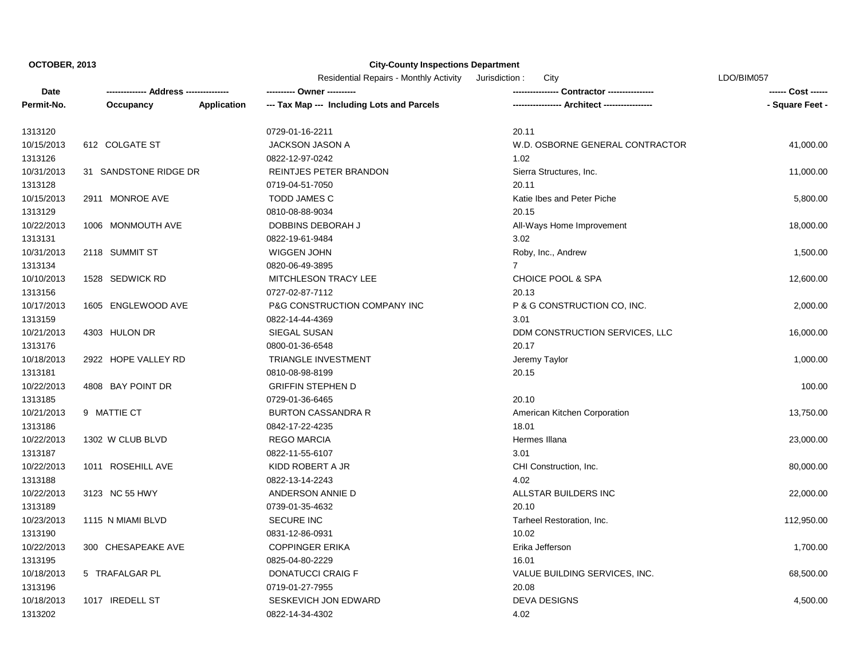Residential Repairs - Monthly Activity Jurisdiction : City LDO/BIM057

| Date       |                       |             |                                            |                                 | ------ Cost ------ |
|------------|-----------------------|-------------|--------------------------------------------|---------------------------------|--------------------|
| Permit-No. | Occupancy             | Application | --- Tax Map --- Including Lots and Parcels |                                 | - Square Feet -    |
| 1313120    |                       |             | 0729-01-16-2211                            | 20.11                           |                    |
| 10/15/2013 | 612 COLGATE ST        |             | <b>JACKSON JASON A</b>                     | W.D. OSBORNE GENERAL CONTRACTOR | 41,000.00          |
| 1313126    |                       |             | 0822-12-97-0242                            | 1.02                            |                    |
| 10/31/2013 | 31 SANDSTONE RIDGE DR |             | REINTJES PETER BRANDON                     | Sierra Structures, Inc.         | 11,000.00          |
| 1313128    |                       |             | 0719-04-51-7050                            | 20.11                           |                    |
| 10/15/2013 | 2911 MONROE AVE       |             | <b>TODD JAMES C</b>                        | Katie Ibes and Peter Piche      | 5,800.00           |
| 1313129    |                       |             | 0810-08-88-9034                            | 20.15                           |                    |
| 10/22/2013 | 1006 MONMOUTH AVE     |             | DOBBINS DEBORAH J                          | All-Ways Home Improvement       | 18,000.00          |
| 1313131    |                       |             | 0822-19-61-9484                            | 3.02                            |                    |
| 10/31/2013 | 2118 SUMMIT ST        |             | WIGGEN JOHN                                | Roby, Inc., Andrew              | 1,500.00           |
| 1313134    |                       |             | 0820-06-49-3895                            | $\overline{7}$                  |                    |
| 10/10/2013 | 1528 SEDWICK RD       |             | MITCHLESON TRACY LEE                       | CHOICE POOL & SPA               | 12,600.00          |
| 1313156    |                       |             | 0727-02-87-7112                            | 20.13                           |                    |
| 10/17/2013 | 1605 ENGLEWOOD AVE    |             | P&G CONSTRUCTION COMPANY INC               | P & G CONSTRUCTION CO, INC.     | 2,000.00           |
| 1313159    |                       |             | 0822-14-44-4369                            | 3.01                            |                    |
| 10/21/2013 | 4303 HULON DR         |             | SIEGAL SUSAN                               | DDM CONSTRUCTION SERVICES, LLC  | 16,000.00          |
| 1313176    |                       |             | 0800-01-36-6548                            | 20.17                           |                    |
| 10/18/2013 | 2922 HOPE VALLEY RD   |             | <b>TRIANGLE INVESTMENT</b>                 | Jeremy Taylor                   | 1,000.00           |
| 1313181    |                       |             | 0810-08-98-8199                            | 20.15                           |                    |
| 10/22/2013 | 4808 BAY POINT DR     |             | <b>GRIFFIN STEPHEN D</b>                   |                                 | 100.00             |
| 1313185    |                       |             | 0729-01-36-6465                            | 20.10                           |                    |
| 10/21/2013 | 9 MATTIE CT           |             | <b>BURTON CASSANDRA R</b>                  | American Kitchen Corporation    | 13,750.00          |
| 1313186    |                       |             | 0842-17-22-4235                            | 18.01                           |                    |
| 10/22/2013 | 1302 W CLUB BLVD      |             | <b>REGO MARCIA</b>                         | Hermes Illana                   | 23,000.00          |
| 1313187    |                       |             | 0822-11-55-6107                            | 3.01                            |                    |
| 10/22/2013 | 1011 ROSEHILL AVE     |             | KIDD ROBERT A JR                           | CHI Construction, Inc.          | 80,000.00          |
| 1313188    |                       |             | 0822-13-14-2243                            | 4.02                            |                    |
| 10/22/2013 | 3123 NC 55 HWY        |             | ANDERSON ANNIE D                           | ALLSTAR BUILDERS INC            | 22,000.00          |
| 1313189    |                       |             | 0739-01-35-4632                            | 20.10                           |                    |
| 10/23/2013 | 1115 N MIAMI BLVD     |             | <b>SECURE INC</b>                          | Tarheel Restoration, Inc.       | 112,950.00         |
| 1313190    |                       |             | 0831-12-86-0931                            | 10.02                           |                    |
| 10/22/2013 | 300 CHESAPEAKE AVE    |             | <b>COPPINGER ERIKA</b>                     | Erika Jefferson                 | 1,700.00           |
| 1313195    |                       |             | 0825-04-80-2229                            | 16.01                           |                    |
| 10/18/2013 | 5 TRAFALGAR PL        |             | <b>DONATUCCI CRAIG F</b>                   | VALUE BUILDING SERVICES, INC.   | 68,500.00          |
| 1313196    |                       |             | 0719-01-27-7955                            | 20.08                           |                    |
| 10/18/2013 | 1017 IREDELL ST       |             | SESKEVICH JON EDWARD                       | <b>DEVA DESIGNS</b>             | 4,500.00           |
| 1313202    |                       |             | 0822-14-34-4302                            | 4.02                            |                    |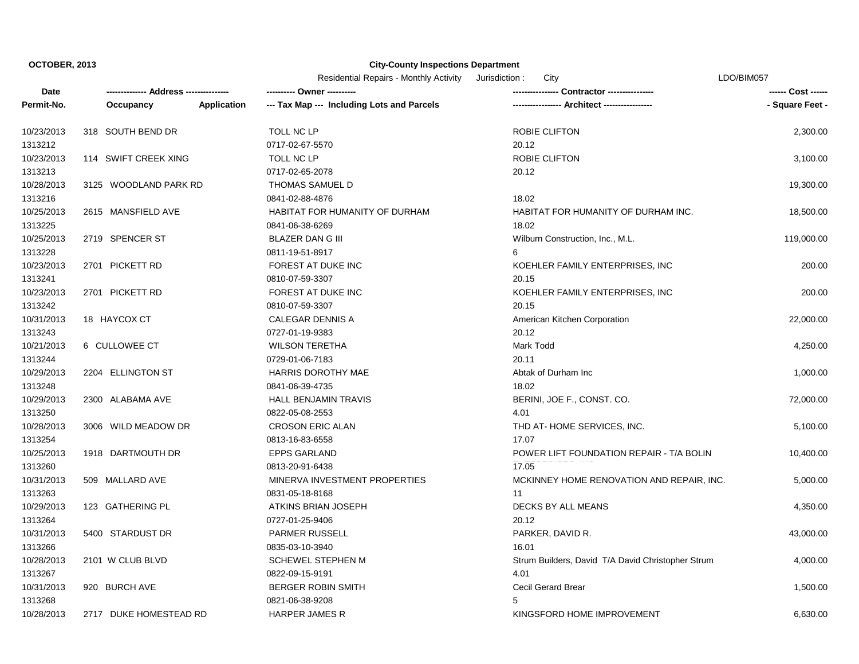|            |                        |                    | <b>Residential Repairs - Monthly Activity</b><br>City<br>Jurisdiction: |                                                   | LDO/BIM057      |
|------------|------------------------|--------------------|------------------------------------------------------------------------|---------------------------------------------------|-----------------|
| Date       | ---- Address ----      |                    | ---------- Owner -                                                     | -- Contractor -----------                         |                 |
| Permit-No. | Occupancy              | <b>Application</b> | --- Tax Map --- Including Lots and Parcels                             |                                                   | - Square Feet - |
| 10/23/2013 | 318 SOUTH BEND DR      |                    | TOLL NC LP                                                             | ROBIE CLIFTON                                     | 2,300.00        |
| 1313212    |                        |                    | 0717-02-67-5570                                                        | 20.12                                             |                 |
| 10/23/2013 | 114 SWIFT CREEK XING   |                    | TOLL NC LP                                                             | ROBIE CLIFTON                                     | 3,100.00        |
| 1313213    |                        |                    | 0717-02-65-2078                                                        | 20.12                                             |                 |
| 10/28/2013 | 3125 WOODLAND PARK RD  |                    | THOMAS SAMUEL D                                                        |                                                   | 19,300.00       |
| 1313216    |                        |                    | 0841-02-88-4876                                                        | 18.02                                             |                 |
| 10/25/2013 | 2615 MANSFIELD AVE     |                    | HABITAT FOR HUMANITY OF DURHAM                                         | HABITAT FOR HUMANITY OF DURHAM INC.               | 18,500.00       |
| 1313225    |                        |                    | 0841-06-38-6269                                                        | 18.02                                             |                 |
| 10/25/2013 | 2719 SPENCER ST        |                    | <b>BLAZER DAN G III</b>                                                | Wilburn Construction, Inc., M.L.                  | 119,000.00      |
| 1313228    |                        |                    | 0811-19-51-8917                                                        | 6                                                 |                 |
| 10/23/2013 | 2701 PICKETT RD        |                    | FOREST AT DUKE INC                                                     | KOEHLER FAMILY ENTERPRISES, INC                   | 200.00          |
| 1313241    |                        |                    | 0810-07-59-3307                                                        | 20.15                                             |                 |
| 10/23/2013 | 2701 PICKETT RD        |                    | FOREST AT DUKE INC                                                     | KOEHLER FAMILY ENTERPRISES, INC                   | 200.00          |
| 1313242    |                        |                    | 0810-07-59-3307                                                        | 20.15                                             |                 |
| 10/31/2013 | 18 HAYCOX CT           |                    | <b>CALEGAR DENNIS A</b>                                                | American Kitchen Corporation                      | 22,000.00       |
| 1313243    |                        |                    | 0727-01-19-9383                                                        | 20.12                                             |                 |
| 10/21/2013 | 6 CULLOWEE CT          |                    | <b>WILSON TERETHA</b>                                                  | Mark Todd                                         | 4,250.00        |
| 1313244    |                        |                    | 0729-01-06-7183                                                        | 20.11                                             |                 |
| 10/29/2013 | 2204 ELLINGTON ST      |                    | HARRIS DOROTHY MAE                                                     | Abtak of Durham Inc                               | 1,000.00        |
| 1313248    |                        |                    | 0841-06-39-4735                                                        | 18.02                                             |                 |
| 10/29/2013 | 2300 ALABAMA AVE       |                    | <b>HALL BENJAMIN TRAVIS</b>                                            | BERINI, JOE F., CONST. CO.                        | 72,000.00       |
| 1313250    |                        |                    | 0822-05-08-2553                                                        | 4.01                                              |                 |
| 10/28/2013 | 3006 WILD MEADOW DR    |                    | <b>CROSON ERIC ALAN</b>                                                | THD AT-HOME SERVICES, INC.                        | 5,100.00        |
| 1313254    |                        |                    | 0813-16-83-6558                                                        | 17.07                                             |                 |
| 10/25/2013 | 1918 DARTMOUTH DR      |                    | <b>EPPS GARLAND</b>                                                    | POWER LIFT FOUNDATION REPAIR - T/A BOLIN          | 10,400.00       |
| 1313260    |                        |                    | 0813-20-91-6438                                                        | 17.05                                             |                 |
| 10/31/2013 | 509 MALLARD AVE        |                    | MINERVA INVESTMENT PROPERTIES                                          | MCKINNEY HOME RENOVATION AND REPAIR, INC.         | 5,000.00        |
| 1313263    |                        |                    | 0831-05-18-8168                                                        | 11                                                |                 |
| 10/29/2013 | 123 GATHERING PL       |                    | ATKINS BRIAN JOSEPH                                                    | DECKS BY ALL MEANS                                | 4,350.00        |
| 1313264    |                        |                    | 0727-01-25-9406                                                        | 20.12                                             |                 |
| 10/31/2013 | 5400 STARDUST DR       |                    | <b>PARMER RUSSELL</b>                                                  | PARKER, DAVID R.                                  | 43,000.00       |
| 1313266    |                        |                    | 0835-03-10-3940                                                        | 16.01                                             |                 |
| 10/28/2013 | 2101 W CLUB BLVD       |                    | <b>SCHEWEL STEPHEN M</b>                                               | Strum Builders, David T/A David Christopher Strum | 4,000.00        |
| 1313267    |                        |                    | 0822-09-15-9191                                                        | 4.01                                              |                 |
| 10/31/2013 | 920 BURCH AVE          |                    | <b>BERGER ROBIN SMITH</b>                                              | Cecil Gerard Brear                                | 1,500.00        |
| 1313268    |                        |                    | 0821-06-38-9208                                                        | 5                                                 |                 |
| 10/28/2013 | 2717 DUKE HOMESTEAD RD |                    | <b>HARPER JAMES R</b>                                                  | KINGSFORD HOME IMPROVEMENT                        | 6,630.00        |